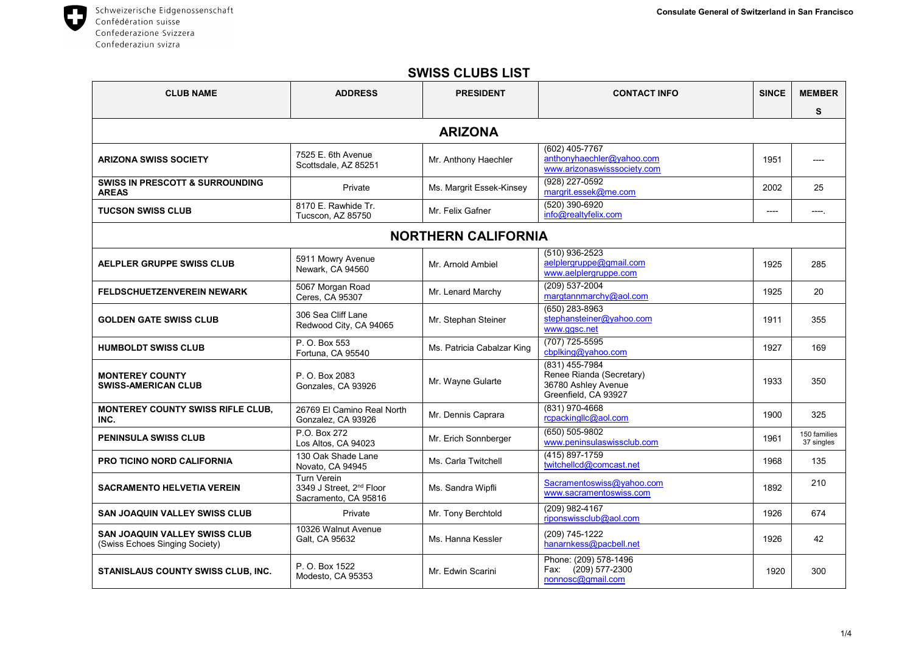Schweizerische Eidgenossenschaft 0 Confédération suisse Confederazione Svizzera Confederaziun svizra

| <b>CLUB NAME</b>                                                       | <b>ADDRESS</b>                                                                     | <b>PRESIDENT</b>           | <b>CONTACT INFO</b>                                                                       | <b>SINCE</b> | <b>MEMBER</b>              |  |  |
|------------------------------------------------------------------------|------------------------------------------------------------------------------------|----------------------------|-------------------------------------------------------------------------------------------|--------------|----------------------------|--|--|
|                                                                        |                                                                                    |                            |                                                                                           |              | S                          |  |  |
| <b>ARIZONA</b>                                                         |                                                                                    |                            |                                                                                           |              |                            |  |  |
| <b>ARIZONA SWISS SOCIETY</b>                                           | 7525 E. 6th Avenue<br>Scottsdale, AZ 85251                                         | Mr. Anthony Haechler       | (602) 405-7767<br>anthonyhaechler@yahoo.com<br>www.arizonaswisssociety.com                | 1951         |                            |  |  |
| <b>SWISS IN PRESCOTT &amp; SURROUNDING</b><br><b>AREAS</b>             | Private                                                                            | Ms. Margrit Essek-Kinsey   | (928) 227-0592<br>margrit.essek@me.com                                                    | 2002         | 25                         |  |  |
| <b>TUCSON SWISS CLUB</b>                                               | 8170 E. Rawhide Tr.<br>Tucscon, AZ 85750                                           | Mr. Felix Gafner           | (520) 390-6920<br>info@realtyfelix.com                                                    | ----         | ----                       |  |  |
| <b>NORTHERN CALIFORNIA</b>                                             |                                                                                    |                            |                                                                                           |              |                            |  |  |
| <b>AELPLER GRUPPE SWISS CLUB</b>                                       | 5911 Mowry Avenue<br>Newark, CA 94560                                              | Mr. Arnold Ambiel          | (510) 936-2523<br>aelplergruppe@gmail.com<br>www.aelplergruppe.com                        | 1925         | 285                        |  |  |
| <b>FELDSCHUETZENVEREIN NEWARK</b>                                      | 5067 Morgan Road<br>Ceres, CA 95307                                                | Mr. Lenard Marchy          | (209) 537-2004<br>margtannmarchy@aol.com                                                  | 1925         | 20                         |  |  |
| <b>GOLDEN GATE SWISS CLUB</b>                                          | 306 Sea Cliff Lane<br>Redwood City, CA 94065                                       | Mr. Stephan Steiner        | $(650)$ 283-8963<br>stephansteiner@yahoo.com<br>www.ggsc.net                              | 1911         | 355                        |  |  |
| <b>HUMBOLDT SWISS CLUB</b>                                             | P. O. Box 553<br>Fortuna, CA 95540                                                 | Ms. Patricia Cabalzar King | (707) 725-5595<br>cbplking@vahoo.com                                                      | 1927         | 169                        |  |  |
| <b>MONTEREY COUNTY</b><br><b>SWISS-AMERICAN CLUB</b>                   | P. O. Box 2083<br>Gonzales, CA 93926                                               | Mr. Wayne Gularte          | (831) 455-7984<br>Renee Rianda (Secretary)<br>36780 Ashley Avenue<br>Greenfield, CA 93927 | 1933         | 350                        |  |  |
| <b>MONTEREY COUNTY SWISS RIFLE CLUB,</b><br>INC.                       | 26769 El Camino Real North<br>Gonzalez, CA 93926                                   | Mr. Dennis Caprara         | (831) 970-4668<br>rcpackingllc@aol.com                                                    | 1900         | 325                        |  |  |
| <b>PENINSULA SWISS CLUB</b>                                            | P.O. Box 272<br>Los Altos, CA 94023                                                | Mr. Erich Sonnberger       | (650) 505-9802<br>www.peninsulaswissclub.com                                              | 1961         | 150 families<br>37 singles |  |  |
| <b>PRO TICINO NORD CALIFORNIA</b>                                      | 130 Oak Shade Lane<br>Novato, CA 94945                                             | Ms. Carla Twitchell        | $(415) 897 - 1759$<br>twitchellcd@comcast.net                                             | 1968         | 135                        |  |  |
| <b>SACRAMENTO HELVETIA VEREIN</b>                                      | <b>Turn Verein</b><br>3349 J Street, 2 <sup>nd</sup> Floor<br>Sacramento, CA 95816 | Ms. Sandra Wipfli          | Sacramentoswiss@yahoo.com<br>www.sacramentoswiss.com                                      | 1892         | 210                        |  |  |
| <b>SAN JOAQUIN VALLEY SWISS CLUB</b>                                   | Private                                                                            | Mr. Tony Berchtold         | (209) 982-4167<br>riponswissclub@aol.com                                                  | 1926         | 674                        |  |  |
| <b>SAN JOAQUIN VALLEY SWISS CLUB</b><br>(Swiss Echoes Singing Society) | 10326 Walnut Avenue<br>Galt, CA 95632                                              | Ms. Hanna Kessler          | (209) 745-1222<br>hanarnkess@pacbell.net                                                  | 1926         | 42                         |  |  |
| <b>STANISLAUS COUNTY SWISS CLUB, INC.</b>                              | P. O. Box 1522<br>Modesto, CA 95353                                                | Mr. Edwin Scarini          | Phone: (209) 578-1496<br>$(209)$ 577-2300<br>Fax:<br>nonnosc@gmail.com                    | 1920         | 300                        |  |  |

## **SWISS CLUBS LIST**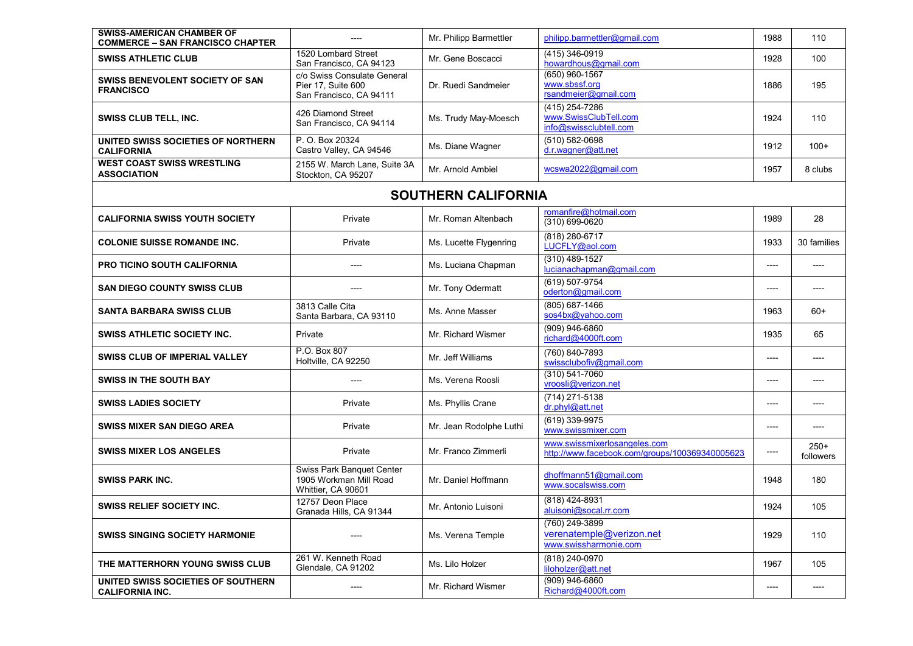| <b>SWISS-AMERICAN CHAMBER OF</b><br><b>COMMERCE – SAN FRANCISCO CHAPTER</b> |                                                                              | Mr. Philipp Barmettler  | philipp.barmettler@gmail.com                                                   | 1988 | 110                 |  |
|-----------------------------------------------------------------------------|------------------------------------------------------------------------------|-------------------------|--------------------------------------------------------------------------------|------|---------------------|--|
| <b>SWISS ATHLETIC CLUB</b>                                                  | 1520 Lombard Street<br>San Francisco, CA 94123                               | Mr. Gene Boscacci       | (415) 346-0919<br>howardhous@gmail.com                                         | 1928 | 100                 |  |
| SWISS BENEVOLENT SOCIETY OF SAN<br><b>FRANCISCO</b>                         | c/o Swiss Consulate General<br>Pier 17, Suite 600<br>San Francisco, CA 94111 | Dr. Ruedi Sandmeier     | (650) 960-1567<br>www.sbssf.org<br>rsandmeier@gmail.com                        | 1886 | 195                 |  |
| <b>SWISS CLUB TELL, INC.</b>                                                | 426 Diamond Street<br>San Francisco, CA 94114                                | Ms. Trudy May-Moesch    | (415) 254-7286<br>www.SwissClubTell.com<br>info@swissclubtell.com              | 1924 | 110                 |  |
| UNITED SWISS SOCIETIES OF NORTHERN<br><b>CALIFORNIA</b>                     | P. O. Box 20324<br>Castro Valley, CA 94546                                   | Ms. Diane Wagner        | $(510) 582 - 0698$<br>d.r.wagner@att.net                                       | 1912 | $100+$              |  |
| <b>WEST COAST SWISS WRESTLING</b><br><b>ASSOCIATION</b>                     | 2155 W. March Lane, Suite 3A<br>Stockton, CA 95207                           | Mr. Arnold Ambiel       | wcswa2022@gmail.com                                                            | 1957 | 8 clubs             |  |
| <b>SOUTHERN CALIFORNIA</b>                                                  |                                                                              |                         |                                                                                |      |                     |  |
| <b>CALIFORNIA SWISS YOUTH SOCIETY</b>                                       | Private                                                                      | Mr. Roman Altenbach     | romanfire@hotmail.com<br>(310) 699-0620                                        | 1989 | 28                  |  |
| <b>COLONIE SUISSE ROMANDE INC.</b>                                          | Private                                                                      | Ms. Lucette Flygenring  | (818) 280-6717<br>LUCFLY@aol.com                                               | 1933 | 30 families         |  |
| PRO TICINO SOUTH CALIFORNIA                                                 | ----                                                                         | Ms. Luciana Chapman     | (310) 489-1527<br>lucianachapman@gmail.com                                     | ---- | ----                |  |
| <b>SAN DIEGO COUNTY SWISS CLUB</b>                                          | ----                                                                         | Mr. Tony Odermatt       | (619) 507-9754<br>oderton@gmail.com                                            | ---- |                     |  |
| <b>SANTA BARBARA SWISS CLUB</b>                                             | 3813 Calle Cita<br>Santa Barbara, CA 93110                                   | Ms. Anne Masser         | $(805) 687 - 1466$<br>sos4bx@yahoo.com                                         | 1963 | $60+$               |  |
| <b>SWISS ATHLETIC SOCIETY INC.</b>                                          | Private                                                                      | Mr. Richard Wismer      | (909) 946-6860<br>richard@4000ft.com                                           | 1935 | 65                  |  |
| SWISS CLUB OF IMPERIAL VALLEY                                               | P.O. Box 807<br>Holtville, CA 92250                                          | Mr. Jeff Williams       | (760) 840-7893<br>swissclubofiv@gmail.com                                      | ---- | ----                |  |
| <b>SWISS IN THE SOUTH BAY</b>                                               | ----                                                                         | Ms. Verena Roosli       | (310) 541-7060<br>vroosli@verizon.net                                          | ---- |                     |  |
| <b>SWISS LADIES SOCIETY</b>                                                 | Private                                                                      | Ms. Phyllis Crane       | (714) 271-5138<br>dr.phyl@att.net                                              | ---- | ----                |  |
| <b>SWISS MIXER SAN DIEGO AREA</b>                                           | Private                                                                      | Mr. Jean Rodolphe Luthi | $(619)$ 339-9975<br>www.swissmixer.com                                         | ---- | ----                |  |
| <b>SWISS MIXER LOS ANGELES</b>                                              | Private                                                                      | Mr. Franco Zimmerli     | www.swissmixerlosangeles.com<br>http://www.facebook.com/groups/100369340005623 | ---- | $250+$<br>followers |  |
| <b>SWISS PARK INC.</b>                                                      | Swiss Park Banquet Center<br>1905 Workman Mill Road<br>Whittier, CA 90601    | Mr. Daniel Hoffmann     | dhoffmann51@gmail.com<br>www.socalswiss.com                                    | 1948 | 180                 |  |
| <b>SWISS RELIEF SOCIETY INC.</b>                                            | 12757 Deon Place<br>Granada Hills, CA 91344                                  | Mr. Antonio Luisoni     | (818) 424-8931<br>aluisoni@socal.rr.com                                        | 1924 | 105                 |  |
| <b>SWISS SINGING SOCIETY HARMONIE</b>                                       | ----                                                                         | Ms. Verena Temple       | (760) 249-3899<br>verenatemple@verizon.net<br>www.swissharmonie.com            | 1929 | 110                 |  |
| THE MATTERHORN YOUNG SWISS CLUB                                             | 261 W. Kenneth Road<br>Glendale, CA 91202                                    | Ms. Lilo Holzer         | (818) 240-0970<br>liloholzer@att.net                                           | 1967 | 105                 |  |
| UNITED SWISS SOCIETIES OF SOUTHERN<br><b>CALIFORNIA INC.</b>                | ----                                                                         | Mr. Richard Wismer      | $(909)$ 946-6860<br>Richard@4000ft.com                                         |      |                     |  |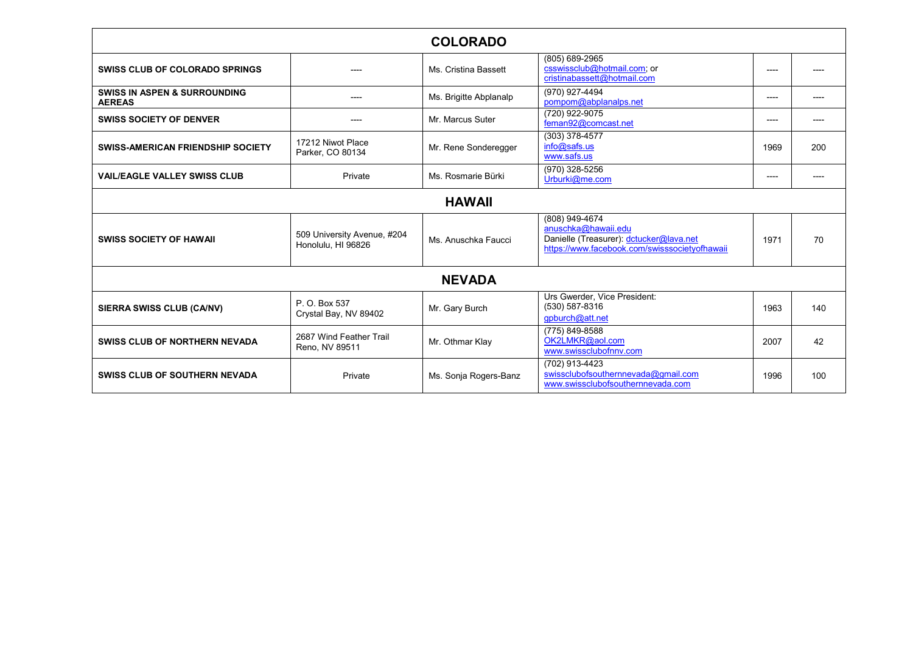| <b>COLORADO</b>                                          |                                                   |                        |                                                                                                                                   |       |     |  |
|----------------------------------------------------------|---------------------------------------------------|------------------------|-----------------------------------------------------------------------------------------------------------------------------------|-------|-----|--|
| <b>SWISS CLUB OF COLORADO SPRINGS</b>                    |                                                   | Ms. Cristina Bassett   | (805) 689-2965<br>csswissclub@hotmail.com; or<br>cristinabassett@hotmail.com                                                      | $---$ |     |  |
| <b>SWISS IN ASPEN &amp; SURROUNDING</b><br><b>AEREAS</b> | ----                                              | Ms. Brigitte Abplanalp | (970) 927-4494<br>pompom@abplanalps.net                                                                                           | ----  |     |  |
| <b>SWISS SOCIETY OF DENVER</b>                           | ----                                              | Mr. Marcus Suter       | $(720)$ 922-9075<br>feman92@comcast.net                                                                                           | ----  |     |  |
| <b>SWISS-AMERICAN FRIENDSHIP SOCIETY</b>                 | 17212 Niwot Place<br>Parker, CO 80134             | Mr. Rene Sonderegger   | (303) 378-4577<br>info@safs.us<br>www.safs.us                                                                                     | 1969  | 200 |  |
| <b>VAIL/EAGLE VALLEY SWISS CLUB</b>                      | Private                                           | Ms. Rosmarie Bürki     | (970) 328-5256<br>Urburki@me.com                                                                                                  | ----  |     |  |
| <b>HAWAII</b>                                            |                                                   |                        |                                                                                                                                   |       |     |  |
| <b>SWISS SOCIETY OF HAWAII</b>                           | 509 University Avenue, #204<br>Honolulu, HI 96826 | Ms. Anuschka Faucci    | (808) 949-4674<br>anuschka@hawaii.edu<br>Danielle (Treasurer): dctucker@lava.net<br>https://www.facebook.com/swisssocietyofhawaii | 1971  | 70  |  |
| <b>NEVADA</b>                                            |                                                   |                        |                                                                                                                                   |       |     |  |
| SIERRA SWISS CLUB (CA/NV)                                | P. O. Box 537<br>Crystal Bay, NV 89402            | Mr. Gary Burch         | Urs Gwerder, Vice President:<br>(530) 587-8316<br>qpburch@att.net                                                                 | 1963  | 140 |  |
| <b>SWISS CLUB OF NORTHERN NEVADA</b>                     | 2687 Wind Feather Trail<br>Reno, NV 89511         | Mr. Othmar Klay        | (775) 849-8588<br>OK2LMKR@aol.com<br>www.swissclubofnnv.com                                                                       | 2007  | 42  |  |
| <b>SWISS CLUB OF SOUTHERN NEVADA</b>                     | Private                                           | Ms. Sonja Rogers-Banz  | (702) 913-4423<br>swissclubofsouthernnevada@gmail.com<br>www.swissclubofsouthernnevada.com                                        | 1996  | 100 |  |